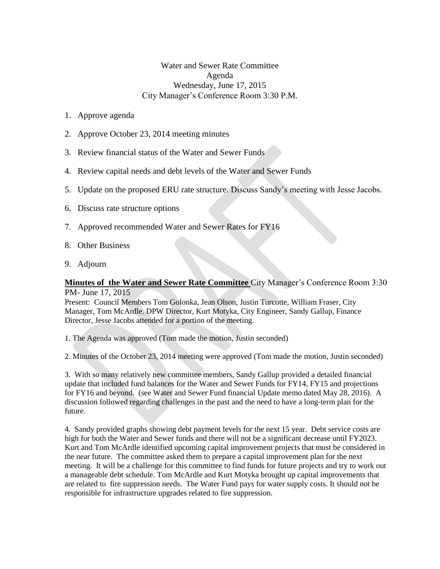## Water and Sewer Rate Committee Agenda Wednesday, June 17, 2015 City Manager's Conference Room 3:30 P.M.

- 1. Approve agenda
- 2. Approve October 23, 2014 meeting minutes
- 3. Review financial status of the Water and Sewer Funds
- 4. Review capital needs and debt levels of the Water and Sewer Funds
- 5. Update on the proposed ERU rate structure. Discuss Sandy's meeting with Jesse Jacobs.
- 6. Discuss rate structure options
- 7. Approved recommended Water and Sewer Rates for FY16
- 8. Other Business
- 9. Adjourn

## **Minutes of the Water and Sewer Rate Committee** City Manager's Conference Room 3:30 PM- June 17, 2015

Present: Council Members Tom Golonka, Jean Olson, Justin Turcotte, William Fraser, City Manager, Tom McArdle. DPW Director, Kurt Motyka, City Engineer, Sandy Gallup, Finance Director, Jesse Jacobs attended for a portion of the meeting.

1. The Agenda was approved (Tom made the motion, Justin seconded)

2. Minutes of the October 23, 2014 meeting were approved (Tom made the motion, Justin seconded)

3. With so many relatively new committee members, Sandy Gallup provided a detailed financial update that included fund balances for the Water and Sewer Funds for FY14, FY15 and projections for FY16 and beyond. (see Water and Sewer Fund financial Update memo dated May 28, 2016). A discussion followed regarding challenges in the past and the need to have a long-term plan for the future.

4. Sandy provided graphs showing debt payment levels for the next 15 year. Debt service costs are high for both the Water and Sewer funds and there will not be a significant decrease until FY2023. Kurt and Tom McArdle identified upcoming capital improvement projects that must be considered in the near future. The committee asked them to prepare a capital improvement plan for the next meeting. It will be a challenge for this committee to find funds for future projects and try to work out a manageable debt schedule. Tom McArdle and Kurt Motyka brought up capital improvements that are related to fire suppression needs. The Water Fund pays for water supply costs. It should not be responsible for infrastructure upgrades related to fire suppression.